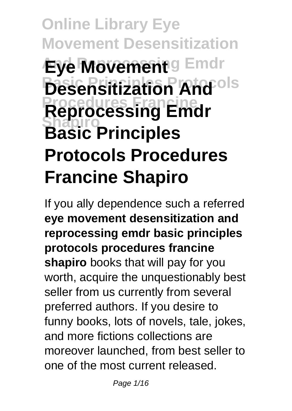# **Online Library Eye Movement Desensitization Eye Movement** g Emdr **Desensitization And<sup>rols</sup> Procedures Francine Reprocessing Emdr Shapiro Basic Principles Protocols Procedures Francine Shapiro**

If you ally dependence such a referred **eye movement desensitization and reprocessing emdr basic principles protocols procedures francine shapiro** books that will pay for you worth, acquire the unquestionably best seller from us currently from several preferred authors. If you desire to funny books, lots of novels, tale, jokes, and more fictions collections are moreover launched, from best seller to one of the most current released.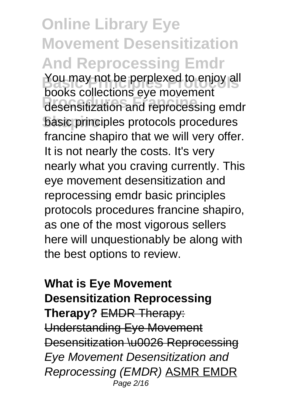**Online Library Eye Movement Desensitization And Reprocessing Emdr** You may not be perplexed to enjoy all **Procedures Francine** desensitization and reprocessing emdr **Shapiro** basic principles protocols procedures books collections eye movement francine shapiro that we will very offer. It is not nearly the costs. It's very nearly what you craving currently. This eye movement desensitization and reprocessing emdr basic principles protocols procedures francine shapiro, as one of the most vigorous sellers here will unquestionably be along with the best options to review.

#### **What is Eye Movement Desensitization Reprocessing Therapy?** EMDR Therapy: Understanding Eye Movement Desensitization \u0026 Reprocessing Eye Movement Desensitization and Reprocessing (EMDR) ASMR EMDR Page 2/16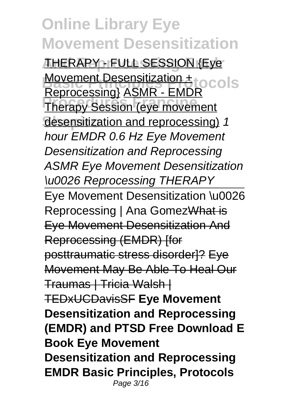**And Reprocessing Emdr** THERAPY - FULL SESSION {Eye **Movement Desensitization +**<br>Desenseccies<sup>1</sup> ACMB FMBP 0COLS **Therapy Session (eye movement** desensitization and reprocessing) 1 Reprocessing} ASMR - EMDR hour EMDR 0.6 Hz Eye Movement Desensitization and Reprocessing ASMR Eye Movement Desensitization \u0026 Reprocessing THERAPY Eye Movement Desensitization \u0026 Reprocessing | Ana GomezWhat is Eye Movement Desensitization And Reprocessing (EMDR) Ifor posttraumatic stress disorder]? Eye Movement May Be Able To Heal Our Traumas | Tricia Walsh | TEDxUCDavisSF **Eye Movement Desensitization and Reprocessing (EMDR) and PTSD Free Download E Book Eye Movement Desensitization and Reprocessing EMDR Basic Principles, Protocols** Page 3/16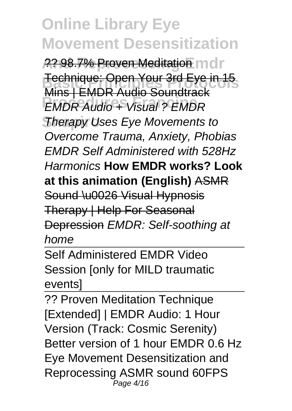2<del>? 98.7% Proven Meditation</del> mdr **Fechnique: Open Your 3rd Eye in 15 EMDR Audio + Visual ? EMDR Therapy Uses Eye Movements to** Mins | EMDR Audio Soundtrack Overcome Trauma, Anxiety, Phobias EMDR Self Administered with 528Hz Harmonics **How EMDR works? Look at this animation (English)** ASMR Sound \u0026 Visual Hypnosis Therapy | Help For Seasonal Depression EMDR: Self-soothing at home

Self Administered EMDR Video Session [only for MILD traumatic events]

?? Proven Meditation Technique [Extended] | EMDR Audio: 1 Hour Version (Track: Cosmic Serenity) Better version of 1 hour EMDR 0.6 Hz Eye Movement Desensitization and Reprocessing ASMR sound 60FPS Page 4/16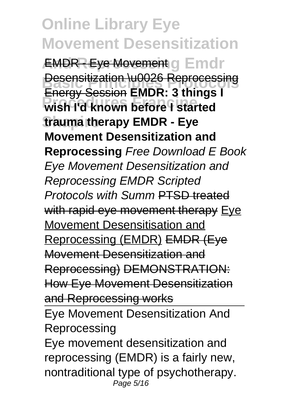**EMDR - Eye Movement g Emdr Besensitization \u0026 Reprocessing Procedures Francine wish I'd known before I started Shapiro trauma therapy EMDR - Eye** Energy Session **EMDR: 3 things I Movement Desensitization and Reprocessing** Free Download E Book Eye Movement Desensitization and Reprocessing EMDR Scripted Protocols with Summ PTSD treated with rapid eye movement therapy Eye Movement Desensitisation and Reprocessing (EMDR) EMDR (Eye Movement Desensitization and Reprocessing) DEMONSTRATION: How Eye Movement Desensitization and Reprocessing works Eye Movement Desensitization And **Reprocessing** 

Eye movement desensitization and reprocessing (EMDR) is a fairly new, nontraditional type of psychotherapy. Page 5/16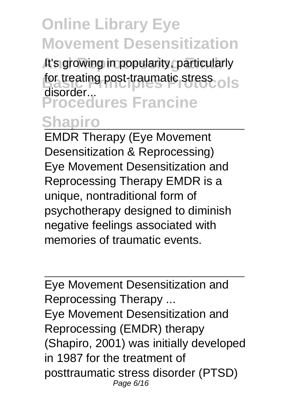It's growing in popularity, particularly for treating post-traumatic stress.<sup>O</sup> S **Procedures Francine** disorder...

#### **Shapiro**

EMDR Therapy (Eye Movement Desensitization & Reprocessing) Eye Movement Desensitization and Reprocessing Therapy EMDR is a unique, nontraditional form of psychotherapy designed to diminish negative feelings associated with memories of traumatic events.

Eye Movement Desensitization and Reprocessing Therapy ... Eye Movement Desensitization and Reprocessing (EMDR) therapy (Shapiro, 2001) was initially developed in 1987 for the treatment of posttraumatic stress disorder (PTSD) Page 6/16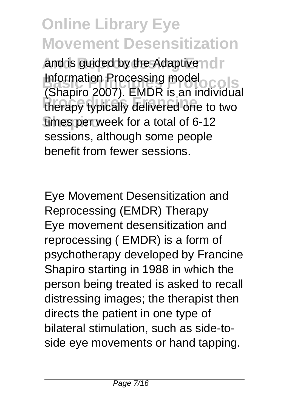and is guided by the Adaptive nor **Basic Principles Protocols** (Shapiro 2007). EMDR is an individual **Procedures Francine** therapy typically delivered one to two **Shapiro** times per week for a total of 6-12 Information Processing model sessions, although some people benefit from fewer sessions.

Eye Movement Desensitization and Reprocessing (EMDR) Therapy Eye movement desensitization and reprocessing ( EMDR) is a form of psychotherapy developed by Francine Shapiro starting in 1988 in which the person being treated is asked to recall distressing images; the therapist then directs the patient in one type of bilateral stimulation, such as side-toside eye movements or hand tapping.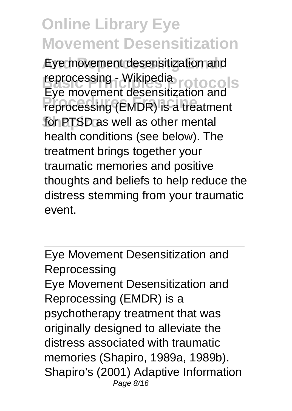Eye movement desensitization and reprocessing - Wikipedia<br>Executive protocols **Procedures Francine** reprocessing (EMDR) is a treatment for PTSD as well as other mental Eye movement desensitization and health conditions (see below). The treatment brings together your traumatic memories and positive thoughts and beliefs to help reduce the distress stemming from your traumatic event.

Eye Movement Desensitization and **Reprocessing** Eye Movement Desensitization and Reprocessing (EMDR) is a psychotherapy treatment that was originally designed to alleviate the distress associated with traumatic memories (Shapiro, 1989a, 1989b). Shapiro's (2001) Adaptive Information Page 8/16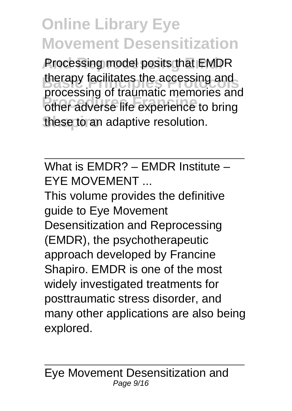Processing model posits that EMDR therapy facilitates the accessing and<br> **Expression** of trainering moments and **Procedures Francine** other adverse life experience to bring **Shapiro** these to an adaptive resolution. processing of traumatic memories and

What is EMDR? – EMDR Institute – EYE MOVEMENT ...

This volume provides the definitive guide to Eye Movement Desensitization and Reprocessing (EMDR), the psychotherapeutic approach developed by Francine Shapiro. EMDR is one of the most widely investigated treatments for posttraumatic stress disorder, and many other applications are also being explored.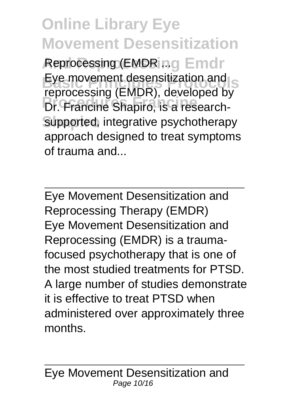Reprocessing (EMDR ing Emdr Eye movement desensitization and<br> **Exercises** (EMDB) developed by **Procedures Francine** Dr. Francine Shapiro, is a researchsupported, integrative psychotherapy reprocessing (EMDR), developed by approach designed to treat symptoms of trauma and...

Eye Movement Desensitization and Reprocessing Therapy (EMDR) Eye Movement Desensitization and Reprocessing (EMDR) is a traumafocused psychotherapy that is one of the most studied treatments for PTSD. A large number of studies demonstrate it is effective to treat PTSD when administered over approximately three months.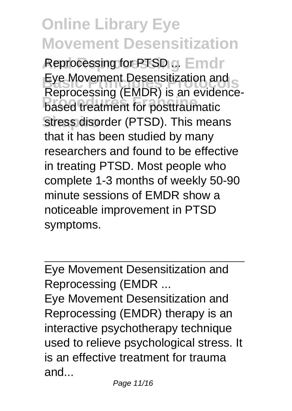Reprocessing for PTSD ... Emdr Eye Movement Desensitization and<br>Pentessassing (FMDD) is an auidence **Procedurity (EIRDT)**, is all order stress disorder (PTSD). This means Reprocessing (EMDR) is an evidencethat it has been studied by many researchers and found to be effective in treating PTSD. Most people who complete 1-3 months of weekly 50-90 minute sessions of EMDR show a noticeable improvement in PTSD symptoms.

Eye Movement Desensitization and Reprocessing (EMDR ...

Eye Movement Desensitization and Reprocessing (EMDR) therapy is an interactive psychotherapy technique used to relieve psychological stress. It is an effective treatment for trauma and...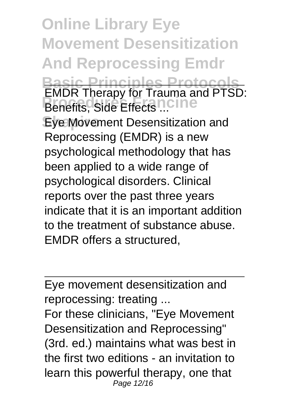**Online Library Eye Movement Desensitization And Reprocessing Emdr Basic Principles Protocols PROCESS** FRANCING **Eye Movement Desensitization and** EMDR Therapy for Trauma and PTSD: Reprocessing (EMDR) is a new psychological methodology that has been applied to a wide range of psychological disorders. Clinical reports over the past three years indicate that it is an important addition to the treatment of substance abuse. EMDR offers a structured,

Eye movement desensitization and reprocessing: treating ...

For these clinicians, "Eye Movement Desensitization and Reprocessing" (3rd. ed.) maintains what was best in the first two editions - an invitation to learn this powerful therapy, one that Page 12/16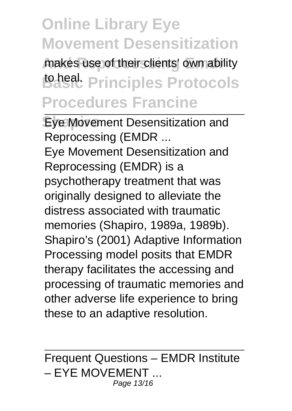makes use of their clients' own ability **Basic Principles Protocols Procedures Francine**

**Eye Movement Desensitization and** Reprocessing (EMDR ... Eye Movement Desensitization and Reprocessing (EMDR) is a psychotherapy treatment that was originally designed to alleviate the distress associated with traumatic memories (Shapiro, 1989a, 1989b). Shapiro's (2001) Adaptive Information Processing model posits that EMDR therapy facilitates the accessing and processing of traumatic memories and other adverse life experience to bring these to an adaptive resolution.

Frequent Questions – EMDR Institute – EYE MOVEMENT ... Page 13/16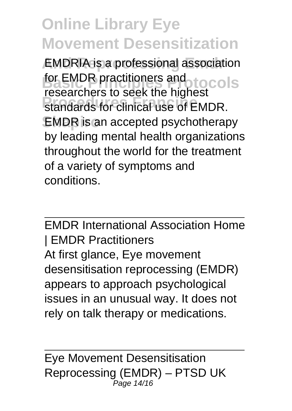**EMDRIA** is a professional association for EMDR practitioners and<br> **For examples to cold the bighed COIS Procedures Francine** standards for clinical use of EMDR. EMDR is an accepted psychotherapy researchers to seek the highest by leading mental health organizations throughout the world for the treatment of a variety of symptoms and conditions.

EMDR International Association Home | EMDR Practitioners At first glance, Eye movement desensitisation reprocessing (EMDR) appears to approach psychological issues in an unusual way. It does not rely on talk therapy or medications.

Eye Movement Desensitisation Reprocessing (EMDR) – PTSD UK Page 14/16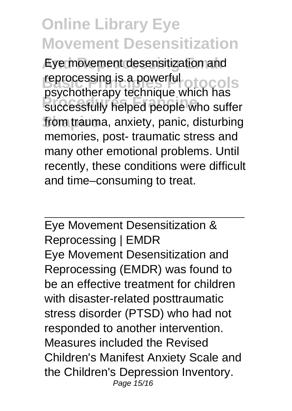Eye movement desensitization and **Rancessing is a powerful originals Procedures Francine** successfully helped people who suffer from trauma, anxiety, panic, disturbing psychotherapy technique which has memories, post- traumatic stress and many other emotional problems. Until recently, these conditions were difficult and time–consuming to treat.

Eye Movement Desensitization & Reprocessing | EMDR Eye Movement Desensitization and Reprocessing (EMDR) was found to be an effective treatment for children with disaster-related posttraumatic stress disorder (PTSD) who had not responded to another intervention. Measures included the Revised Children's Manifest Anxiety Scale and the Children's Depression Inventory. Page 15/16